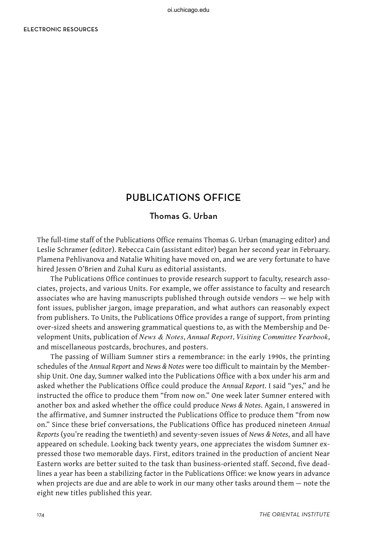# PUBLICATIONS OFFICE

### Thomas G. Urban

The full-time staff of the Publications Office remains Thomas G. Urban (managing editor) and Leslie Schramer (editor). Rebecca Cain (assistant editor) began her second year in February. Plamena Pehlivanova and Natalie Whiting have moved on, and we are very fortunate to have hired Jessen O'Brien and Zuhal Kuru as editorial assistants.

The Publications Office continues to provide research support to faculty, research associates, projects, and various Units. For example, we offer assistance to faculty and research associates who are having manuscripts published through outside vendors — we help with font issues, publisher jargon, image preparation, and what authors can reasonably expect from publishers. To Units, the Publications Office provides a range of support, from printing over-sized sheets and answering grammatical questions to, as with the Membership and Development Units, publication of *News & Notes*, *Annual Report*, *Visiting Committee Yearbook*, and miscellaneous postcards, brochures, and posters.

The passing of William Sumner stirs a remembrance: in the early 1990s, the printing schedules of the *Annual Report* and *News & Notes* were too difficult to maintain by the Membership Unit. One day, Sumner walked into the Publications Office with a box under his arm and asked whether the Publications Office could produce the *Annual Report*. I said "yes," and he instructed the office to produce them "from now on." One week later Sumner entered with another box and asked whether the office could produce *News & Notes*. Again, I answered in the affirmative, and Sumner instructed the Publications Office to produce them "from now on." Since these brief conversations, the Publications Office has produced nineteen *Annual Reports* (you're reading the twentieth) and seventy-seven issues of *News & Notes*, and all have appeared on schedule. Looking back twenty years, one appreciates the wisdom Sumner expressed those two memorable days. First, editors trained in the production of ancient Near Eastern works are better suited to the task than business-oriented staff. Second, five deadlines a year has been a stabilizing factor in the Publications Office: we know years in advance when projects are due and are able to work in our many other tasks around them — note the eight new titles published this year.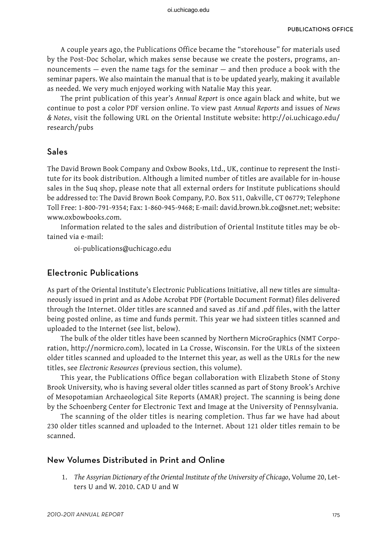A couple years ago, the Publications Office became the "storehouse" for materials used by the Post-Doc Scholar, which makes sense because we create the posters, programs, announcements — even the name tags for the seminar — and then produce a book with the seminar papers. We also maintain the manual that is to be updated yearly, making it available as needed. We very much enjoyed working with Natalie May this year.

The print publication of this year's *Annual Report* is once again black and white, but we continue to post a color PDF version online. To view past *Annual Reports* and issues of *News & Notes*, visit the following URL on the Oriental Institute website: http://oi.uchicago.edu/ research/pubs

#### Sales

The David Brown Book Company and Oxbow Books, Ltd., UK, continue to represent the Institute for its book distribution. Although a limited number of titles are available for in-house sales in the Suq shop, please note that all external orders for Institute publications should be addressed to: The David Brown Book Company, P.O. Box 511, Oakville, CT 06779; Telephone Toll Free: 1-800-791-9354; Fax: 1-860-945-9468; E-mail: david.brown.bk.co@snet.net; website: www.oxbowbooks.com.

Information related to the sales and distribution of Oriental Institute titles may be obtained via e-mail:

oi-publications@uchicago.edu

#### Electronic Publications

As part of the Oriental Institute's Electronic Publications Initiative, all new titles are simultaneously issued in print and as Adobe Acrobat PDF (Portable Document Format) files delivered through the Internet. Older titles are scanned and saved as .tif and .pdf files, with the latter being posted online, as time and funds permit. This year we had sixteen titles scanned and uploaded to the Internet (see list, below).

The bulk of the older titles have been scanned by Northern MicroGraphics (NMT Corporation, http://normicro.com), located in La Crosse, Wisconsin. For the URLs of the sixteen older titles scanned and uploaded to the Internet this year, as well as the URLs for the new titles, see *Electronic Resources* (previous section, this volume).

This year, the Publications Office began collaboration with Elizabeth Stone of Stony Brook University, who is having several older titles scanned as part of Stony Brook's Archive of Mesopotamian Archaeological Site Reports (AMAR) project. The scanning is being done by the Schoenberg Center for Electronic Text and Image at the University of Pennsylvania.

The scanning of the older titles is nearing completion. Thus far we have had about 230 older titles scanned and uploaded to the Internet. About 121 older titles remain to be scanned.

#### New Volumes Distributed in Print and Online

1. *The Assyrian Dictionary of the Oriental Institute of the University of Chicago*, Volume 20, Letters U and W. 2010. CAD U and W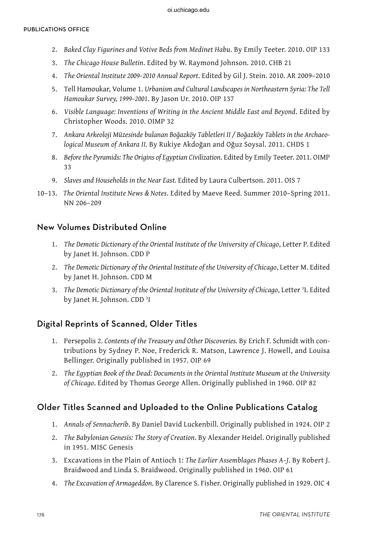- 2. *Baked Clay Figurines and Votive Beds from Medinet Habu*. By Emily Teeter. 2010. OIP 133
- 3. *The Chicago House Bulletin*. Edited by W. Raymond Johnson. 2010. CHB 21
- 4. *The Oriental Institute 2009–2010 Annual Report*. Edited by Gil J. Stein. 2010. AR 2009–2010
- 5. Tell Hamoukar, Volume 1. *Urbanism and Cultural Landscapes in Northeastern Syria: The Tell Hamoukar Survey, 1999–2001*. By Jason Ur. 2010. OIP 137
- 6. *Visible Language: Inventions of Writing in the Ancient Middle East and Beyond*. Edited by Christopher Woods. 2010. OIMP 32
- 7. *Ankara Arkeoloji Müzesinde bulanan Boğazköy Tabletleri II / Boğazköy Tablets in the Archaeological Museum of Ankara II.* By Rukiye Akdoğan and Oğuz Soysal. 2011. CHDS 1
- 8. *Before the Pyramids: The Origins of Egyptian Civilization*. Edited by Emily Teeter. 2011. OIMP 33
- 9. *Slaves and Households in the Near East.* Edited by Laura Culbertson. 2011. OIS 7
- 10–13. *The Oriental Institute News & Notes*. Edited by Maeve Reed. Summer 2010–Spring 2011. NN 206–209

### New Volumes Distributed Online

- 1. *The Demotic Dictionary of the Oriental Institute of the University of Chicago*, Letter P. Edited by Janet H. Johnson. CDD P
- 2. *The Demotic Dictionary of the Oriental Institute of the University of Chicago*, Letter M. Edited by Janet H. Johnson. CDD M
- 3. *The Demotic Dictionary of the Oriental Institute of the University of Chicago*, Letter ʾI. Edited by Janet H. Johnson. CDD ʾI

### Digital Reprints of Scanned, Older Titles

- 1. Persepolis 2. *Contents of the Treasury and Other Discoveries.* By Erich F. Schmidt with contributions by Sydney P. Noe, Frederick R. Matson, Lawrence J. Howell, and Louisa Bellinger. Originally published in 1957. OIP 69
- 2. *The Egyptian Book of the Dead: Documents in the Oriental Institute Museum at the University of Chicago*. Edited by Thomas George Allen. Originally published in 1960. OIP 82

## Older Titles Scanned and Uploaded to the Online Publications Catalog

- 1. *Annals of Sennacherib*. By Daniel David Luckenbill. Originally published in 1924. OIP 2
- 2. *The Babylonian Genesis: The Story of Creation*. By Alexander Heidel. Originally published in 1951. MISC Genesis
- 3. Excavations in the Plain of Antioch 1: *The Earlier Assemblages Phases A–J*. By Robert J. Braidwood and Linda S. Braidwood. Originally published in 1960. OIP 61
- 4. *The Excavation of Armageddon*. By Clarence S. Fisher. Originally published in 1929. OIC 4